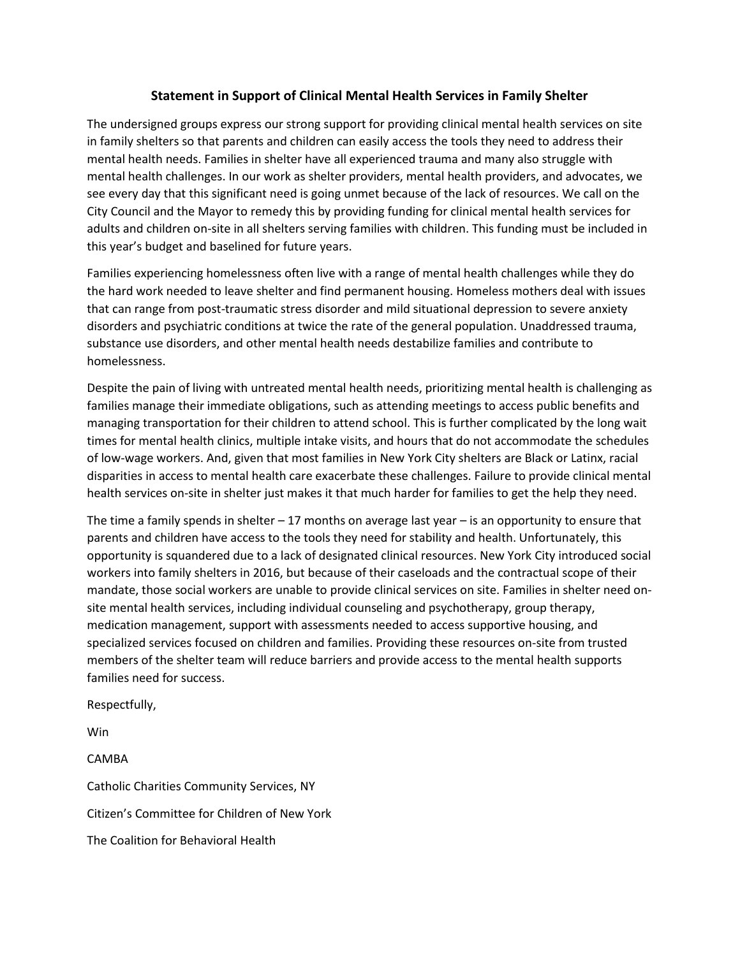## **Statement in Support of Clinical Mental Health Services in Family Shelter**

The undersigned groups express our strong support for providing clinical mental health services on site in family shelters so that parents and children can easily access the tools they need to address their mental health needs. Families in shelter have all experienced trauma and many also struggle with mental health challenges. In our work as shelter providers, mental health providers, and advocates, we see every day that this significant need is going unmet because of the lack of resources. We call on the City Council and the Mayor to remedy this by providing funding for clinical mental health services for adults and children on-site in all shelters serving families with children. This funding must be included in this year's budget and baselined for future years.

Families experiencing homelessness often live with a range of mental health challenges while they do the hard work needed to leave shelter and find permanent housing. Homeless mothers deal with issues that can range from post-traumatic stress disorder and mild situational depression to severe anxiety disorders and psychiatric conditions at twice the rate of the general population. Unaddressed trauma, substance use disorders, and other mental health needs destabilize families and contribute to homelessness.

Despite the pain of living with untreated mental health needs, prioritizing mental health is challenging as families manage their immediate obligations, such as attending meetings to access public benefits and managing transportation for their children to attend school. This is further complicated by the long wait times for mental health clinics, multiple intake visits, and hours that do not accommodate the schedules of low-wage workers. And, given that most families in New York City shelters are Black or Latinx, racial disparities in access to mental health care exacerbate these challenges. Failure to provide clinical mental health services on-site in shelter just makes it that much harder for families to get the help they need.

The time a family spends in shelter  $-17$  months on average last year  $-$  is an opportunity to ensure that parents and children have access to the tools they need for stability and health. Unfortunately, this opportunity is squandered due to a lack of designated clinical resources. New York City introduced social workers into family shelters in 2016, but because of their caseloads and the contractual scope of their mandate, those social workers are unable to provide clinical services on site. Families in shelter need onsite mental health services, including individual counseling and psychotherapy, group therapy, medication management, support with assessments needed to access supportive housing, and specialized services focused on children and families. Providing these resources on-site from trusted members of the shelter team will reduce barriers and provide access to the mental health supports families need for success.

Respectfully,

Win

CAMBA Catholic Charities Community Services, NY Citizen's Committee for Children of New York The Coalition for Behavioral Health